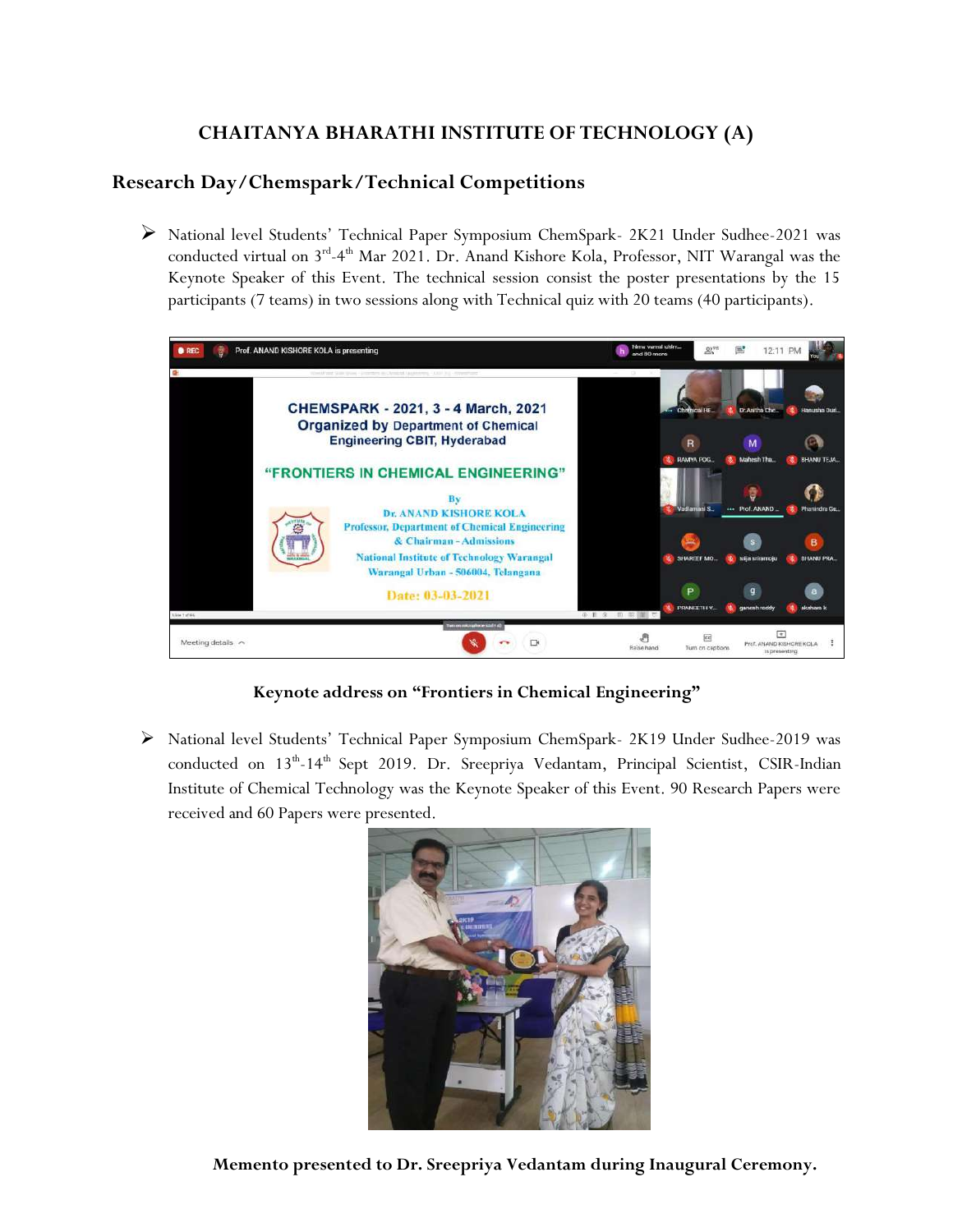## **CHAITANYA BHARATHI INSTITUTE OF TECHNOLOGY (A)**

## **Research Day/Chemspark/Technical Competitions**

 National level Students' Technical Paper Symposium ChemSpark- 2K21 Under Sudhee-2021 was conducted virtual on 3<sup>rd</sup>-4<sup>th</sup> Mar 2021. Dr. Anand Kishore Kola, Professor, NIT Warangal was the Keynote Speaker of this Event. The technical session consist the poster presentations by the 15 participants (7 teams) in two sessions along with Technical quiz with 20 teams (40 participants).



**Keynote address on "Frontiers in Chemical Engineering"**

 National level Students' Technical Paper Symposium ChemSpark- 2K19 Under Sudhee-2019 was conducted on 13<sup>th</sup>-14<sup>th</sup> Sept 2019. Dr. Sreepriya Vedantam, Principal Scientist, CSIR-Indian Institute of Chemical Technology was the Keynote Speaker of this Event. 90 Research Papers were received and 60 Papers were presented.



**Memento presented to Dr. Sreepriya Vedantam during Inaugural Ceremony.**